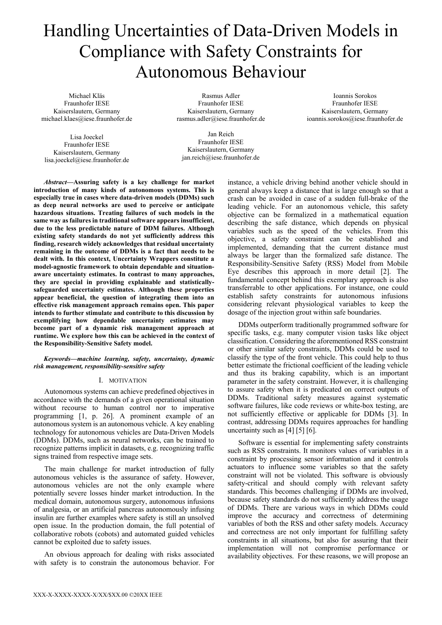# Handling Uncertainties of Data-Driven Models in Compliance with Safety Constraints for Autonomous Behaviour

Michael Kläs Fraunhofer IESE Kaiserslautern, Germany michael.klaes@iese.fraunhofer.de

Lisa Joeckel Fraunhofer IESE Kaiserslautern, Germany lisa.joeckel@iese.fraunhofer.de

Rasmus Adler Fraunhofer IESE Kaiserslautern, Germany [rasmus.adler@iese.fraunhofer.de](mailto:rasmus.adler@iese.fraunhofer.de)

Ioannis Sorokos Fraunhofer IESE Kaiserslautern, Germany ioannis.sorokos@iese.fraunhofer.de

Jan Reich Fraunhofer IESE Kaiserslautern, Germany jan.reich@iese.fraunhofer.de

*Abstract***—Assuring safety is a key challenge for market introduction of many kinds of autonomous systems. This is especially true in cases where data-driven models (DDMs) such as deep neural networks are used to perceive or anticipate hazardous situations. Treating failures of such models in the same way as failures in traditional software appears insufficient, due to the less predictable nature of DDM failures. Although existing safety standards do not yet sufficiently address this finding, research widely acknowledges that residual uncertainty remaining in the outcome of DDMs is a fact that needs to be dealt with. In this context, Uncertainty Wrappers constitute a model-agnostic framework to obtain dependable and situationaware uncertainty estimates. In contrast to many approaches, they are special in providing explainable and statisticallysafeguarded uncertainty estimates. Although these properties appear beneficial, the question of integrating them into an effective risk management approach remains open. This paper intends to further stimulate and contribute to this discussion by exemplifying how dependable uncertainty estimates may become part of a dynamic risk management approach at runtime. We explore how this can be achieved in the context of the Responsibility-Sensitive Safety model.**

# *Keywords—machine learning, safety, uncertainty, dynamic risk management, responsibility-sensitive safety*

# I. MOTIVATION

Autonomous systems can achieve predefined objectives in accordance with the demands of a given operational situation without recourse to human control nor to imperative programming [1, p. 26]. A prominent example of an autonomous system is an autonomous vehicle. A key enabling technology for autonomous vehicles are Data-Driven Models (DDMs). DDMs, such as neural networks, can be trained to recognize patterns implicit in datasets, e.g. recognizing traffic signs trained from respective image sets.

The main challenge for market introduction of fully autonomous vehicles is the assurance of safety. However, autonomous vehicles are not the only example where potentially severe losses hinder market introduction. In the medical domain, autonomous surgery, autonomous infusions of analgesia, or an artificial pancreas autonomously infusing insulin are further examples where safety is still an unsolved open issue. In the production domain, the full potential of collaborative robots (cobots) and automated guided vehicles cannot be exploited due to safety issues.

An obvious approach for dealing with risks associated with safety is to constrain the autonomous behavior. For

instance, a vehicle driving behind another vehicle should in general always keep a distance that is large enough so that a crash can be avoided in case of a sudden full-brake of the leading vehicle. For an autonomous vehicle, this safety objective can be formalized in a mathematical equation describing the safe distance, which depends on physical variables such as the speed of the vehicles. From this objective, a safety constraint can be established and implemented, demanding that the current distance must always be larger than the formalized safe distance. The Responsibility-Sensitive Safety (RSS) Model from Mobile Eye describes this approach in more detail [2]. The fundamental concept behind this exemplary approach is also transferrable to other applications. For instance, one could establish safety constraints for autonomous infusions considering relevant physiological variables to keep the dosage of the injection grout within safe boundaries.

DDMs outperform traditionally programmed software for specific tasks, e.g. many computer vision tasks like object classification. Considering the aforementioned RSS constraint or other similar safety constraints, DDMs could be used to classify the type of the front vehicle. This could help to thus better estimate the frictional coefficient of the leading vehicle and thus its braking capability, which is an important parameter in the safety constraint. However, it is challenging to assure safety when it is predicated on correct outputs of DDMs. Traditional safety measures against systematic software failures, like code reviews or white-box testing, are not sufficiently effective or applicable for DDMs [3]. In contrast, addressing DDMs requires approaches for handling uncertainty such as [4] [5] [6].

Software is essential for implementing safety constraints such as RSS constraints. It monitors values of variables in a constraint by processing sensor information and it controls actuators to influence some variables so that the safety constraint will not be violated. This software is obviously safety-critical and should comply with relevant safety standards. This becomes challenging if DDMs are involved, because safety standards do not sufficiently address the usage of DDMs. There are various ways in which DDMs could improve the accuracy and correctness of determining variables of both the RSS and other safety models. Accuracy and correctness are not only important for fulfilling safety constraints in all situations, but also for assuring that their implementation will not compromise performance or availability objectives. For these reasons, we will propose an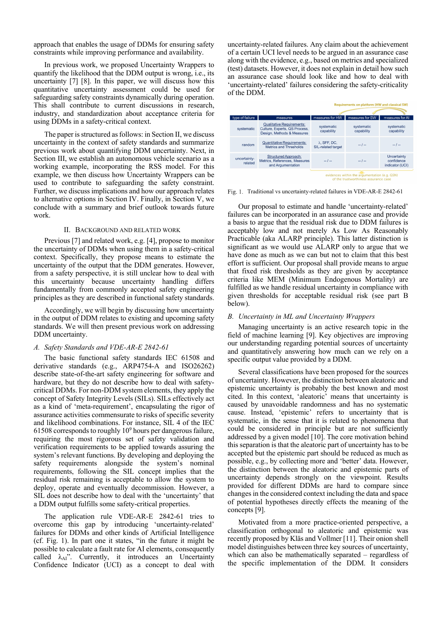approach that enables the usage of DDMs for ensuring safety constraints while improving performance and availability.

In previous work, we proposed Uncertainty Wrappers to quantify the likelihood that the DDM output is wrong, i.e., its uncertainty [7] [8]. In this paper, we will discuss how this quantitative uncertainty assessment could be used for safeguarding safety constraints dynamically during operation. This shall contribute to current discussions in research, industry, and standardization about acceptance criteria for using DDMs in a safety-critical context.

The paper is structured as follows: in Sectio[n II,](#page-1-0) we discuss uncertainty in the context of safety standards and summarize previous work about quantifying DDM uncertainty. Next, in Sectio[n III,](#page-2-0) we establish an autonomous vehicle scenario as a working example, incorporating the RSS model. For this example, we then discuss how Uncertainty Wrappers can be used to contribute to safeguarding the safety constraint. Further, we discuss implications and how our approach relates to alternative options in Section IV. Finally, in Section [V,](#page-6-0) we conclude with a summary and brief outlook towards future work.

# II. BACKGROUND AND RELATED WORK

<span id="page-1-0"></span>Previous [7] and related work, e.g. [4], propose to monitor the uncertainty of DDMs when using them in a safety-critical context. Specifically, they propose means to estimate the uncertainty of the output that the DDM generates. However, from a safety perspective, it is still unclear how to deal with this uncertainty because uncertainty handling differs fundamentally from commonly accepted safety engineering principles as they are described in functional safety standards.

Accordingly, we will begin by discussing how uncertainty in the output of DDM relates to existing and upcoming safety standards. We will then present previous work on addressing DDM uncertainty.

#### <span id="page-1-2"></span>*A. Safety Standards and VDE-AR-E 2842-61*

The basic functional safety standards IEC 61508 and derivative standards (e.g., ARP4754-A and ISO26262) describe state-of-the-art safety engineering for software and hardware, but they do not describe how to deal with safetycritical DDMs. For non-DDM system elements, they apply the concept of Safety Integrity Levels (SILs). SILs effectively act as a kind of 'meta-requirement', encapsulating the rigor of assurance activities commensurate to risks of specific severity and likelihood combinations. For instance, SIL 4 of the IEC 61508 corresponds to roughly  $10<sup>9</sup>$  hours per dangerous failure, requiring the most rigorous set of safety validation and verification requirements to be applied towards assuring the system's relevant functions. By developing and deploying the safety requirements alongside the system's nominal requirements, following the SIL concept implies that the residual risk remaining is acceptable to allow the system to deploy, operate and eventually decommission. However, a SIL does not describe how to deal with the 'uncertainty' that a DDM output fulfills some safety-critical properties.

The application rule VDE-AR-E 2842-61 tries to overcome this gap by introducing 'uncertainty-related' failures for DDMs and other kinds of Artificial Intelligence (cf. Fig. 1). In part one it states, "in the future it might be possible to calculate a fault rate for AI elements, consequently called  $\lambda_{AI}$ ". Currently, it introduces an Uncertainty Confidence Indicator (UCI) as a concept to deal with uncertainty-related failures. Any claim about the achievement of a certain UCI level needs to be argued in an assurance case along with the evidence, e.g., based on metrics and specialized (test) datasets. However, it does not explain in detail how such an assurance case should look like and how to deal with 'uncertainty-related' failures considering the safety-criticality of the DDM.

|                                                                                                              |                                                                                                 | <b>Requirements on platform (HW and classical SW)</b> |                          |                                              |
|--------------------------------------------------------------------------------------------------------------|-------------------------------------------------------------------------------------------------|-------------------------------------------------------|--------------------------|----------------------------------------------|
|                                                                                                              |                                                                                                 |                                                       |                          |                                              |
| type of failure                                                                                              | measures                                                                                        | measures for HW                                       | measures for SW          | measures for Al                              |
| systematic                                                                                                   | <b>Qualitative Requirements:</b><br>Culture, Experts, QS Process.<br>Design, Methods & Measures | systematic<br>capability                              | systematic<br>capability | systematic<br>capability                     |
| random                                                                                                       | <b>Quantitative Requirements:</b><br>Metrics and Thresholds                                     | $\lambda$ . SFF, DC.<br>SIL-related target            | $-1-$                    | $-1-$                                        |
| uncertainty-<br>related                                                                                      | Structured Approach:<br>Metrics, References, Measures<br>and Argumentation                      | $-1-$                                                 | $-1-$                    | Uncertainty<br>confidence<br>indicator (UCI) |
| evidences within the argumentation (e.g. GSN)<br>and the action control and later and control and action and |                                                                                                 |                                                       |                          |                                              |

Fig. 1. Traditional vs uncertainty-related failures in VDE-AR-E 2842-61

Our proposal to estimate and handle 'uncertainty-related' failures can be incorporated in an assurance case and provide a basis to argue that the residual risk due to DDM failures is acceptably low and not merely As Low As Reasonably Practicable (aka ALARP principle). This latter distinction is significant as we would use ALARP only to argue that we have done as much as we can but not to claim that this best effort is sufficient. Our proposal shall provide means to argue that fixed risk thresholds as they are given by acceptance criteria like MEM (Minimum Endogenous Mortality) are fulfilled as we handle residual uncertainty in compliance with given thresholds for acceptable residual risk (see part [B](#page-1-1) below).

# <span id="page-1-1"></span>*B. Uncertainty in ML and Uncertainty Wrappers*

Managing uncertainty is an active research topic in the field of machine learning [9]. Key objectives are improving our understanding regarding potential sources of uncertainty and quantitatively answering how much can we rely on a specific output value provided by a DDM.

Several classifications have been proposed for the sources of uncertainty. However, the distinction between aleatoric and epistemic uncertainty is probably the best known and most cited. In this context, 'aleatoric' means that uncertainty is caused by unavoidable randomness and has no systematic cause. Instead, 'epistemic' refers to uncertainty that is systematic, in the sense that it is related to phenomena that could be considered in principle but are not sufficiently addressed by a given model [10]. The core motivation behind this separation is that the aleatoric part of uncertainty has to be accepted but the epistemic part should be reduced as much as possible, e.g., by collecting more and 'better' data. However, the distinction between the aleatoric and epistemic parts of uncertainty depends strongly on the viewpoint. Results provided for different DDMs are hard to compare since changes in the considered context including the data and space of potential hypotheses directly effects the meaning of the concepts [9].

Motivated from a more practice-oriented perspective, a classification orthogonal to aleatoric and epistemic was recently proposed by Kläs and Vollmer [11]. Their onion shell model distinguishes between three key sources of uncertainty, which can also be mathematically separated – regardless of the specific implementation of the DDM. It considers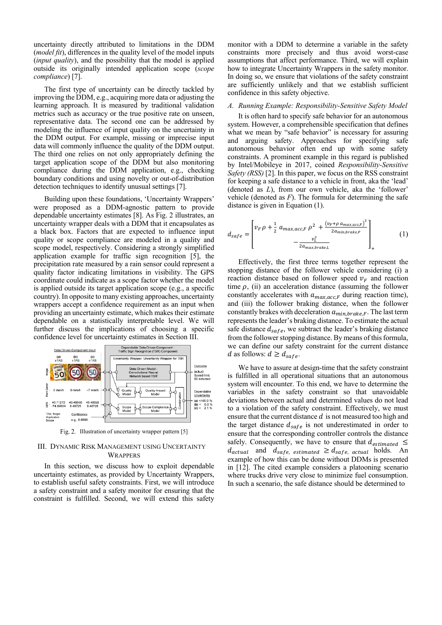uncertainty directly attributed to limitations in the DDM (*model fit*), differences in the quality level of the model inputs (*input quality*), and the possibility that the model is applied outside its originally intended application scope (*scope compliance*) [7].

The first type of uncertainty can be directly tackled by improving the DDM, e.g., acquiring more data or adjusting the learning approach. It is measured by traditional validation metrics such as accuracy or the true positive rate on unseen, representative data. The second one can be addressed by modeling the influence of input quality on the uncertainty in the DDM output. For example, missing or imprecise input data will commonly influence the quality of the DDM output. The third one relies on not only appropriately defining the target application scope of the DDM but also monitoring compliance during the DDM application, e.g., checking boundary conditions and using novelty or out-of-distribution detection techniques to identify unusual settings [7].

Building upon these foundations, 'Uncertainty Wrappers' were proposed as a DDM-agnostic pattern to provide dependable uncertainty estimates [8]. As [Fig. 2](#page-2-1) illustrates, an uncertainty wrapper deals with a DDM that it encapsulates as a black box. Factors that are expected to influence input quality or scope compliance are modeled in a quality and scope model, respectively. Considering a strongly simplified application example for traffic sign recognition [5], the precipitation rate measured by a rain sensor could represent a quality factor indicating limitations in visibility. The GPS coordinate could indicate as a scope factor whether the model is applied outside its target application scope (e.g., a specific country). In opposite to many existing approaches, uncertainty wrappers accept a confidence requirement as an input when providing an uncertainty estimate, which makes their estimate dependable on a statistically interpretable level. We will further discuss the implications of choosing a specific confidence level for uncertainty estimates in Section III.



Fig. 2. Illustration of uncertainty wrapper pattern [5]

# <span id="page-2-1"></span><span id="page-2-0"></span>III. DYNAMIC RISK MANAGEMENT USING UNCERTAINTY **WRAPPERS**

In this section, we discuss how to exploit dependable uncertainty estimates, as provided by Uncertainty Wrappers, to establish useful safety constraints. First, we will introduce a safety constraint and a safety monitor for ensuring that the constraint is fulfilled. Second, we will extend this safety

monitor with a DDM to determine a variable in the safety constraints more precisely and thus avoid worst-case assumptions that affect performance. Third, we will explain how to integrate Uncertainty Wrappers in the safety monitor. In doing so, we ensure that violations of the safety constraint are sufficiently unlikely and that we establish sufficient confidence in this safety objective.

# *A. Running Example: Responsibility-Sensitive Safety Model*

It is often hard to specify safe behavior for an autonomous system. However, a comprehensible specification that defines what we mean by "safe behavior" is necessary for assuring and arguing safety. Approaches for specifying safe autonomous behavior often end up with some safety constraints. A prominent example in this regard is published by Intel/Mobileye in 2017, coined *Responsibility-Sensitive Safety (RSS)* [2]. In this paper, we focus on the RSS constraint for keeping a safe distance to a vehicle in front, aka the 'lead' (denoted as *L*), from our own vehicle, aka the 'follower' vehicle (denoted as *F*). The formula for determining the safe distance is given in Equation (1).

$$
d_{safe} = \begin{bmatrix} v_F \rho + \frac{1}{2} a_{max,acc,F} \rho^2 + \frac{(v_F + \rho a_{max,acc,F})^2}{2a_{min,brake,F}} \\ -\frac{v_L^2}{2a_{max,brake,L}} \end{bmatrix} (1)
$$

Effectively, the first three terms together represent the stopping distance of the follower vehicle considering (i) a reaction distance based on follower speed  $v_F$  and reaction time  $\rho$ , (ii) an acceleration distance (assuming the follower constantly accelerates with  $a_{max,acc,F}$  during reaction time), and (iii) the follower braking distance, when the follower constantly brakes with deceleration  $a_{min,brate,F}$ . The last term represents the leader's braking distance. To estimate the actual safe distance  $d_{safe}$ , we subtract the leader's braking distance from the follower stopping distance. By means of this formula, we can define our safety constraint for the current distance d as follows:  $d \geq d_{safe}$ .

We have to assure at design-time that the safety constraint is fulfilled in all operational situations that an autonomous system will encounter. To this end, we have to determine the variables in the safety constraint so that unavoidable deviations between actual and determined values do not lead to a violation of the safety constraint. Effectively, we must ensure that the current distance  $d$  is not measured too high and the target distance  $d_{safe}$  is not underestimated in order to ensure that the corresponding controller controls the distance safely. Consequently, we have to ensure that  $d_{estimated} \leq$  $d_{actual}$  and  $d_{safe}$  estimated  $\geq d_{safe}$  actual holds. An example of how this can be done without DDMs is presented in [12]. The cited example considers a platooning scenario where trucks drive very close to minimize fuel consumption. In such a scenario, the safe distance should be determined to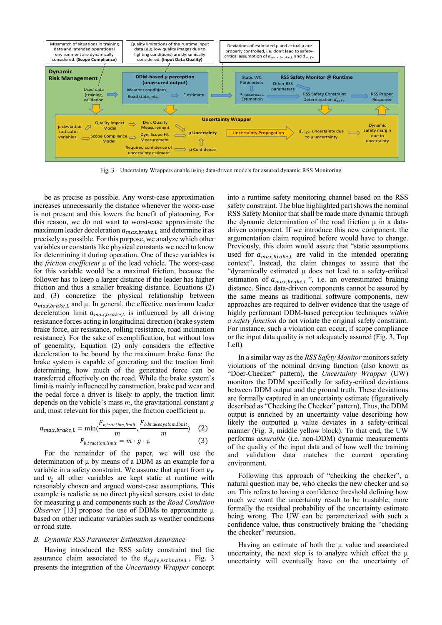

Fig. 3. Uncertainty Wrappers enable using data-driven models for assured dynamic RSS Monitoring

<span id="page-3-0"></span>be as precise as possible. Any worst-case approximation increases unnecessarily the distance whenever the worst-case is not present and this lowers the benefit of platooning. For this reason, we do not want to worst-case approximate the maximum leader deceleration  $a_{max,bmake,L}$  and determine it as precisely as possible. For this purpose, we analyze which other variables or constants like physical constants we need to know for determining it during operation. One of these variables is the *friction coefficient* µ of the lead vehicle. The worst-case for this variable would be a maximal friction, because the follower has to keep a larger distance if the leader has higher friction and thus a smaller breaking distance. Equations (2) and (3) concretize the physical relationship between  $a_{max, bracket, L}$  and  $\mu$ . In general, the effective maximum leader deceleration limit  $a_{max,bmake,L}$  is influenced by all driving resistance forces acting in longitudinal direction (brake system brake force, air resistance, rolling resistance, road inclination resistance). For the sake of exemplification, but without loss of generality, Equation (2) only considers the effective deceleration to be bound by the maximum brake force the brake system is capable of generating and the traction limit determining, how much of the generated force can be transferred effectively on the road. While the brake system's limit is mainly influenced by construction, brake pad wear and the pedal force a driver is likely to apply, the traction limit depends on the vehicle's mass  $m$ , the gravitational constant  $g$ and, most relevant for this paper, the friction coefficient  $\mu$ .

$$
a_{max,brate,L} = \min(\frac{F_{b,traction,limit}}{m}, \frac{F_{b,bratesystem,limit}}{m}) \quad (2)
$$

$$
F_{b,traction,limit} = m \cdot g \cdot \mu \quad (3)
$$

For the remainder of the paper, we will use the determination of  $\mu$  by means of a DDM as an example for a variable in a safety constraint. We assume that apart from  $v_F$ and  $v<sub>L</sub>$  all other variables are kept static at runtime with reasonably chosen and argued worst-case assumptions. This example is realistic as no direct physical sensors exist to date for measuring µ and components such as the *Road Condition Observer* [13] propose the use of DDMs to approximate  $\mu$ based on other indicator variables such as weather conditions or road state.

### *B. Dynamic RSS Parameter Estimation Assurance*

Having introduced the RSS safety constraint and the assurance claim associated to the  $d_{safe, estimated}$ , [Fig. 3](#page-3-0) presents the integration of the *Uncertainty Wrapper* concept

into a runtime safety monitoring channel based on the RSS safety constraint. The blue highlighted part shows the nominal RSS Safety Monitor that shall be made more dynamic through the dynamic determination of the road friction  $\mu$  in a datadriven component. If we introduce this new component, the argumentation claim required before would have to change. Previously, this claim would assure that "static assumptions used for  $a_{max,brate,L}$  are valid in the intended operating context". Instead, the claim changes to assure that the "dynamically estimated µ does not lead to a safety-critical estimation of  $a_{max,bmake,L}$ ", i.e. an overestimated braking distance. Since data-driven components cannot be assured by the same means as traditional software components, new approaches are required to deliver evidence that the usage of highly performant DDM-based perception techniques *within a safety function* do not violate the original safety constraint. For instance, such a violation can occur, if scope compliance or the input data quality is not adequately assured [\(Fig. 3,](#page-3-0) Top Left).

In a similar way as the *RSS Safety Monitor* monitors safety violations of the nominal driving function (also known as "Doer-Checker" pattern), the *Uncertainty Wrapper* (UW) monitors the DDM specifically for safety-critical deviations between DDM output and the ground truth. These deviations are formally captured in an uncertainty estimate (figuratively described as "Checking the Checker" pattern). Thus, the DDM output is enriched by an uncertainty value describing how likely the outputted  $\mu$  value deviates in a safety-critical manner [\(Fig.](#page-3-0) 3, middle yellow block). To that end, the UW performs *assurable* (i.e. non-DDM) dynamic measurements of the quality of the input data and of how well the training and validation data matches the current operating environment.

Following this approach of "checking the checker", a natural question may be, who checks the new checker and so on. This refers to having a confidence threshold defining how much we want the uncertainty result to be trustable, more formally the residual probability of the uncertainty estimate being wrong. The UW can be parameterized with such a confidence value, thus constructively braking the "checking the checker" recursion.

Having an estimate of both the  $\mu$  value and associated uncertainty, the next step is to analyze which effect the  $\mu$ uncertainty will eventually have on the uncertainty of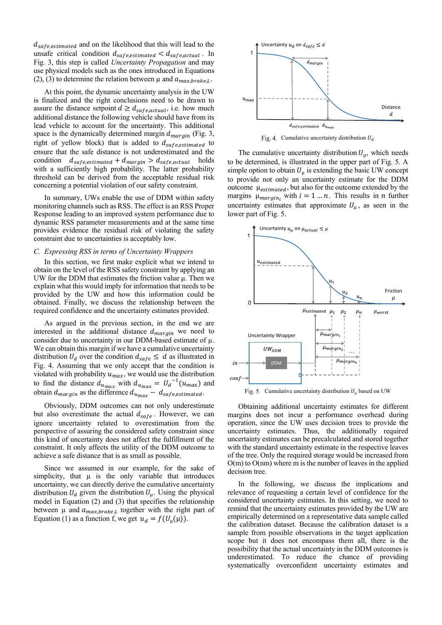$d_{safe, estimated}$  and on the likelihood that this will lead to the unsafe critical condition  $d_{safe, estimated} < d_{safe, actual}$ . In [Fig. 3,](#page-3-0) this step is called *Uncertainty Propagation* and may use physical models such as the ones introduced in Equations (2), (3) to determine the relation between  $\mu$  and  $a_{max,brate,L}$ .

At this point, the dynamic uncertainty analysis in the UW is finalized and the right conclusions need to be drawn to assure the distance setpoint  $d \geq d_{safe, actual}$ , i.e. how much additional distance the following vehicle should have from its lead vehicle to account for the uncertainty. This additional space is the dynamically determined margin  $d_{margin}$  [\(Fig. 3,](#page-3-0) right of yellow block) that is added to  $d_{safe, estimated}$  to ensure that the safe distance is not underestimated and the condition  $d_{safe, estimated} + d_{margin} > d_{safe, actual}$  holds with a sufficiently high probability. The latter probability threshold can be derived from the acceptable residual risk concerning a potential violation of our safety constraint.

In summary, UWs enable the use of DDM within safety monitoring channels such as RSS. The effect is an RSS Proper Response leading to an improved system performance due to dynamic RSS parameter measurements and at the same time provides evidence the residual risk of violating the safety constraint due to uncertainties is acceptably low.

#### <span id="page-4-2"></span>*C. Expressing RSS in terms of Uncertainty Wrappers*

In this section, we first make explicit what we intend to obtain on the level of the RSS safety constraint by applying an UW for the DDM that estimates the friction value  $\mu$ . Then we explain what this would imply for information that needs to be provided by the UW and how this information could be obtained. Finally, we discuss the relationship between the required confidence and the uncertainty estimates provided.

As argued in the previous section, in the end we are interested in the additional distance  $d_{margin}$  we need to consider due to uncertainty in our DDM-based estimate of  $\mu$ . We can obtain this margin if we have a cumulative uncertainty distribution  $U_d$  over the condition  $d_{safe} \leq d$  as illustrated in [Fig. 4.](#page-4-0) Assuming that we only accept that the condition is violated with probability  $u_{max}$ , we would use the distribution to find the distance  $d_{u_{max}}$  with  $d_{u_{max}} = U_d^{-1}(u_{max})$  and obtain  $d_{margin}$  as the difference  $d_{u_{max}} - d_{safe, estimated}$ .

Obviously, DDM outcomes can not only underestimate but also overestimate the actual  $d_{safe}$ . However, we can ignore uncertainty related to overestimation from the perspective of assuring the considered safety constraint since this kind of uncertainty does not affect the fulfillment of the constraint. It only affects the utility of the DDM outcome to achieve a safe distance that is as small as possible.

Since we assumed in our example, for the sake of simplicity, that  $\mu$  is the only variable that introduces uncertainty, we can directly derive the cumulative uncertainty distribution  $U_d$  given the distribution  $U_u$ . Using the physical model in Equation (2) and (3) that specifies the relationship between  $\mu$  and  $a_{max,brake, L}$  together with the right part of Equation (1) as a function f, we get  $u_d = f(U_u(\mu))$ .



Fig. 4. Cumulative uncertainty distribution  $U_d$ 

<span id="page-4-0"></span>The cumulative uncertainty distribution  $U_{\mu}$ , which needs to be determined, is illustrated in the upper part of [Fig. 5.](#page-4-1) A simple option to obtain  $U_{\mu}$  is extending the basic UW concept to provide not only an uncertainty estimate for the DDM outcome  $\mu_{estimated}$ , but also for the outcome extended by the margins  $\mu_{margin_i}$  with  $i = 1 ... n$ . This results in *n* further uncertainty estimates that approximate  $U_{\mu}$ , as seen in the lower part of [Fig. 5.](#page-4-1)



Fig. 5. Cumulative uncertainty distribution  $U_{\mu}$  based on UW

<span id="page-4-1"></span>Obtaining additional uncertainty estimates for different margins does not incur a performance overhead during operation, since the UW uses decision trees to provide the uncertainty estimates. Thus, the additionally required uncertainty estimates can be precalculated and stored together with the standard uncertainty estimate in the respective leaves of the tree. Only the required storage would be increased from  $O(m)$  to  $O(nm)$  where m is the number of leaves in the applied decision tree.

In the following, we discuss the implications and relevance of requesting a certain level of confidence for the considered uncertainty estimates. In this setting, we need to remind that the uncertainty estimates provided by the UW are empirically determined on a representative data sample called the calibration dataset. Because the calibration dataset is a sample from possible observations in the target application scope but it does not encompass them all, there is the possibility that the actual uncertainty in the DDM outcomes is underestimated. To reduce the chance of providing systematically overconfident uncertainty estimates and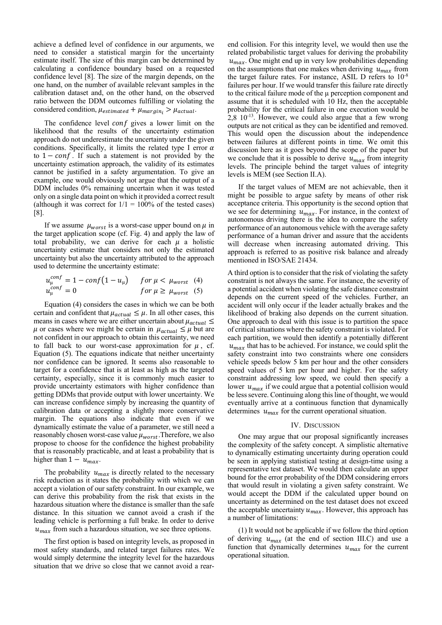achieve a defined level of confidence in our arguments, we need to consider a statistical margin for the uncertainty estimate itself. The size of this margin can be determined by calculating a confidence boundary based on a requested confidence level [8]. The size of the margin depends, on the one hand, on the number of available relevant samples in the calibration dataset and, on the other hand, on the observed ratio between the DDM outcomes fulfilling or violating the considered condition,  $\mu_{estimated} + \mu_{margin_i} > \mu_{actual}$ .

The confidence level conf gives a lower limit on the likelihood that the results of the uncertainty estimation approach do not underestimate the uncertainty under the given conditions. Specifically, it limits the related type I error  $\alpha$ to  $1 - conf$ . If such a statement is not provided by the uncertainty estimation approach, the validity of its estimates cannot be justified in a safety argumentation. To give an example, one would obviously not argue that the output of a DDM includes 0% remaining uncertain when it was tested only on a single data point on which it provided a correct result (although it was correct for  $1/1 = 100\%$  of the tested cases) [8].

If we assume  $\mu_{worst}$  is a worst-case upper bound on  $\mu$  in the target application scope (cf. [Fig. 4\)](#page-4-0) and apply the law of total probability, we can derive for each  $\mu$  a holistic uncertainty estimate that considers not only the estimated uncertainty but also the uncertainty attributed to the approach used to determine the uncertainty estimate:

$$
u_{\mu}^{conf} = 1 - conf(1 - u_{\mu}) \quad for \mu < \mu_{worst} \quad (4)
$$
  

$$
u_{\mu}^{conf} = 0 \quad for \mu \ge \mu_{worst} \quad (5)
$$

Equation (4) considers the cases in which we can be both certain and confident that  $\mu_{actual} \leq \mu$ . In all other cases, this means in cases where we are either uncertain about  $\mu_{actual} \leq$  $\mu$  or cases where we might be certain in  $\mu_{actual} \leq \mu$  but are not confident in our approach to obtain this certainty, we need to fall back to our worst-case approximation for  $\mu$ , cf. Equation (5). The equations indicate that neither uncertainty nor confidence can be ignored. It seems also reasonable to target for a confidence that is at least as high as the targeted certainty, especially, since it is commonly much easier to provide uncertainty estimators with higher confidence than getting DDMs that provide output with lower uncertainty. We can increase confidence simply by increasing the quantity of calibration data or accepting a slightly more conservative margin. The equations also indicate that even if we dynamically estimate the value of a parameter, we still need a reasonably chosen worst-case value  $\mu_{worst}$  . Therefore, we also propose to choose for the confidence the highest probability that is reasonably practicable, and at least a probability that is higher than  $1 - u_{max}$ .

The probability  $u_{max}$  is directly related to the necessary risk reduction as it states the probability with which we can accept a violation of our safety constraint. In our example, we can derive this probability from the risk that exists in the hazardous situation where the distance is smaller than the safe distance. In this situation we cannot avoid a crash if the leading vehicle is performing a full brake. In order to derive  $u_{max}$  from such a hazardous situation, we see three options.

The first option is based on integrity levels, as proposed in most safety standards, and related target failures rates. We would simply determine the integrity level for the hazardous situation that we drive so close that we cannot avoid a rearend collision. For this integrity level, we would then use the related probabilistic target values for deriving the probability  $u_{max}$ . One might end up in very low probabilities depending on the assumptions that one makes when deriving  $u_{max}$  from the target failure rates. For instance, ASIL D refers to 10-8 failures per hour. If we would transfer this failure rate directly to the critical failure mode of the µ perception component and assume that it is scheduled with 10 Hz, then the acceptable probability for the critical failure in one execution would be 2,8 10-13 . However, we could also argue that a few wrong outputs are not critical as they can be identified and removed. This would open the discussion about the independence between failures at different points in time. We omit this discussion here as it goes beyond the scope of the paper but we conclude that it is possible to derive  $u_{max}$  from integrity levels. The principle behind the target values of integrity levels is MEM (see Section [II.A\)](#page-1-2).

If the target values of MEM are not achievable, then it might be possible to argue safety by means of other risk acceptance criteria. This opportunity is the second option that we see for determining  $u_{max}$ . For instance, in the context of autonomous driving there is the idea to compare the safety performance of an autonomous vehicle with the average safety performance of a human driver and assure that the accidents will decrease when increasing automated driving. This approach is referred to as positive risk balance and already mentioned in ISO/SAE 21434.

A third option is to consider that the risk of violating the safety constraint is not always the same. For instance, the severity of a potential accident when violating the safe distance constraint depends on the current speed of the vehicles. Further, an accident will only occur if the leader actually brakes and the likelihood of braking also depends on the current situation. One approach to deal with this issue is to partition the space of critical situations where the safety constraint is violated. For each partition, we would then identify a potentially different  $u_{max}$  that has to be achieved. For instance, we could split the safety constraint into two constraints where one considers vehicle speeds below 5 km per hour and the other considers speed values of 5 km per hour and higher. For the safety constraint addressing low speed, we could then specify a lower  $u_{max}$  if we could argue that a potential collision would be less severe. Continuing along this line of thought, we would eventually arrive at a continuous function that dynamically determines  $u_{max}$  for the current operational situation.

# IV. DISCUSSION

One may argue that our proposal significantly increases the complexity of the safety concept. A simplistic alternative to dynamically estimating uncertainty during operation could be seen in applying statistical testing at design-time using a representative test dataset. We would then calculate an upper bound for the error probability of the DDM considering errors that would result in violating a given safety constraint. We would accept the DDM if the calculated upper bound on uncertainty as determined on the test dataset does not exceed the acceptable uncertainty  $u_{max}$ . However, this approach has a number of limitations:

(1) It would not be applicable if we follow the third option of deriving  $u_{max}$  (at the end of section [III.C\)](#page-4-2) and use a function that dynamically determines  $u_{max}$  for the current operational situation.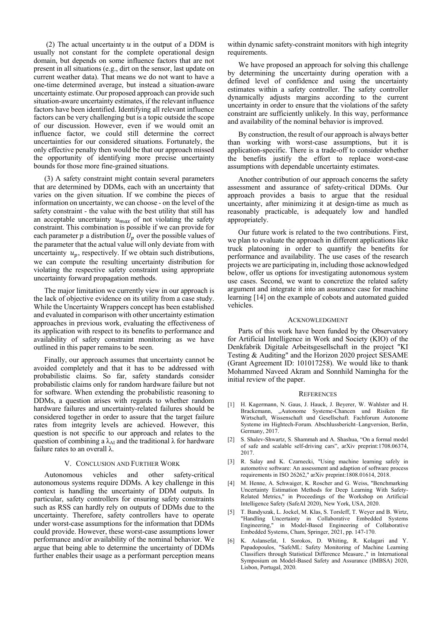(2) The actual uncertainty  $u$  in the output of a DDM is usually not constant for the complete operational design domain, but depends on some influence factors that are not present in all situations (e.g., dirt on the sensor, last update on current weather data). That means we do not want to have a one-time determined average, but instead a situation-aware uncertainty estimate. Our proposed approach can provide such situation-aware uncertainty estimates, if the relevant influence factors have been identified. Identifying all relevant influence factors can be very challenging but is a topic outside the scope of our discussion. However, even if we would omit an influence factor, we could still determine the correct uncertainties for our considered situations. Fortunately, the only effective penalty then would be that our approach missed the opportunity of identifying more precise uncertainty bounds for those more fine-grained situations.

(3) A safety constraint might contain several parameters that are determined by DDMs, each with an uncertainty that varies on the given situation. If we combine the pieces of information on uncertainty, we can choose - on the level of the safety constraint - the value with the best utility that still has an acceptable uncertainty  $u_{max}$  of not violating the safety constraint. This combination is possible if we can provide for each parameter  $p$  a distribution  $U_p$  over the possible values of the parameter that the actual value will only deviate from with uncertainty  $u_p$ , respectively. If we obtain such distributions, we can compute the resulting uncertainty distribution for violating the respective safety constraint using appropriate uncertainty forward propagation methods.

The major limitation we currently view in our approach is the lack of objective evidence on its utility from a case study. While the Uncertainty Wrappers concept has been established and evaluated in comparison with other uncertainty estimation approaches in previous work, evaluating the effectiveness of its application with respect to its benefits to performance and availability of safety constraint monitoring as we have outlined in this paper remains to be seen.

Finally, our approach assumes that uncertainty cannot be avoided completely and that it has to be addressed with probabilistic claims. So far, safety standards consider probabilistic claims only for random hardware failure but not for software. When extending the probabilistic reasoning to DDMs, a question arises with regards to whether random hardware failures and uncertainty-related failures should be considered together in order to assure that the target failure rates from integrity levels are achieved. However, this question is not specific to our approach and relates to the question of combining a  $\lambda_{AI}$  and the traditional  $\lambda$  for hardware failure rates to an overall λ.

### V. CONCLUSION AND FURTHER WORK

<span id="page-6-0"></span>Autonomous vehicles and other safety-critical autonomous systems require DDMs. A key challenge in this context is handling the uncertainty of DDM outputs. In particular, safety controllers for ensuring safety constraints such as RSS can hardly rely on outputs of DDMs due to the uncertainty. Therefore, safety controllers have to operate under worst-case assumptions for the information that DDMs could provide. However, these worst-case assumptions lower performance and/or availability of the nominal behavior. We argue that being able to determine the uncertainty of DDMs further enables their usage as a performant perception means

within dynamic safety-constraint monitors with high integrity requirements.

We have proposed an approach for solving this challenge by determining the uncertainty during operation with a defined level of confidence and using the uncertainty estimates within a safety controller. The safety controller dynamically adjusts margins according to the current uncertainty in order to ensure that the violations of the safety constraint are sufficiently unlikely. In this way, performance and availability of the nominal behavior is improved.

By construction, the result of our approach is always better than working with worst-case assumptions, but it is application-specific. There is a trade-off to consider whether the benefits justify the effort to replace worst-case assumptions with dependable uncertainty estimates.

Another contribution of our approach concerns the safety assessment and assurance of safety-critical DDMs. Our approach provides a basis to argue that the residual uncertainty, after minimizing it at design-time as much as reasonably practicable, is adequately low and handled appropriately.

Our future work is related to the two contributions. First, we plan to evaluate the approach in different applications like truck platooning in order to quantify the benefits for performance and availability. The use cases of the research projects we are participating in, including those acknowledged below, offer us options for investigating autonomous system use cases. Second, we want to concretize the related safety argument and integrate it into an assurance case for machine learning [14] on the example of cobots and automated guided vehicles.

# ACKNOWLEDGMENT

Parts of this work have been funded by the Observatory for Artificial Intelligence in Work and Society (KIO) of the Denkfabrik Digitale Arbeitsgesellschaft in the project "KI Testing & Auditing" and the Horizon 2020 project SESAME (Grant Agreement ID: 101017258). We would like to thank Mohammed Naveed Akram and Sonnhild Namingha for the initial review of the paper.

#### **REFERENCES**

- [1] H. Kagermann, N. Gaus, J. Hauck, J. Beyerer, W. Wahlster and H. Brackemann, "Autonome Systeme-Chancen und Risiken für Wirtschaft, Wissenschaft und Gesellschaft. Fachforum Autonome Systeme im Hightech-Forum. Abschlussbericht–Langversion, Berlin, Germany, 2017.
- [2] S. Shalev-Shwartz, S. Shammah and A. Shashua, "On a formal model of safe and scalable self-driving cars", arXiv preprint:1708.06374, 2017.
- [3] R. Salay and K. Czarnecki, "Using machine learning safely in automotive software: An assessment and adaption of software process requirements in ISO 26262," arXiv preprint:1808.01614, 2018.
- [4] M. Henne, A. Schwaiger, K. Roscher and G. Weiss, "Benchmarking Uncertainty Estimation Methods for Deep Learning With Safety-Related Metrics," in Proceedings of the Workshop on Artificial Intelligence Safety (SafeAI 2020), New York, USA, 2020.
- [5] T. Bandyszak, L. Jockel, M. Klas, S. Torsleff, T. Weyer and B. Wirtz, "Handling Uncertainty in Collaborative Embedded Systems Engineering," in Model-Based Engineering of Collaborative Embedded Systems, Cham, Springer, 2021, pp. 147-170.
- K. Aslansefat, I. Sorokos, D. Whiting, R. Kolagari and Y. Papadopoulos, "SafeML: Safety Monitoring of Machine Learning Classifiers through Statistical Difference Measure.," in International Symposium on Model-Based Safety and Assurance (IMBSA) 2020, Lisbon, Portugal, 2020.